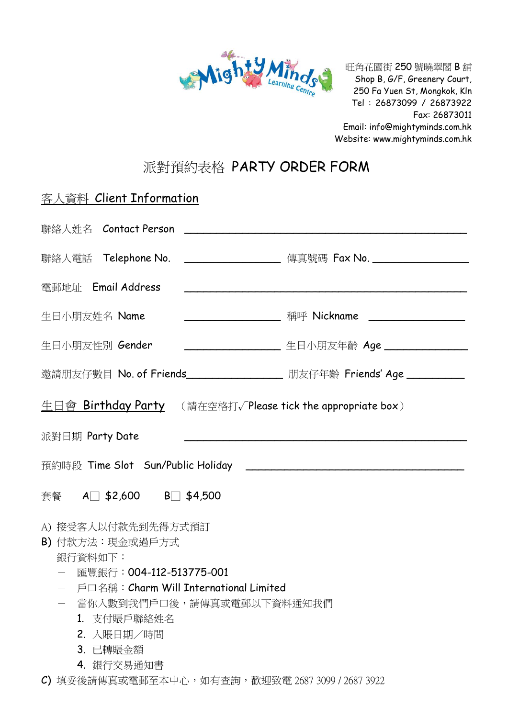

旺角花園街 250 號曉翠閣 B 舖 Shop B, G/F, Greenery Court, 250 Fa Yuen St, Mongkok, Kln Tel : 26873099 / 26873922 Fax: 26873011 Email: info@mightyminds.com.hk Website: www.mightyminds.com.hk

## 派對預約表格 PARTY ORDER FORM

| 客人資料 Client Information                                                                                                                                                                                   |                                                                                                                       |
|-----------------------------------------------------------------------------------------------------------------------------------------------------------------------------------------------------------|-----------------------------------------------------------------------------------------------------------------------|
|                                                                                                                                                                                                           |                                                                                                                       |
| 聯絡人電話 Telephone No. ______________________ 傳真號碼 Fax No. ________________________                                                                                                                          |                                                                                                                       |
| 電郵地址 Email Address                                                                                                                                                                                        | <u> 1980 - Johann Barbara, martin amerikan basar dan basa dan basa dan basa dan basa dan basa dan basa dan basa d</u> |
| 生日小朋友姓名 Name                                                                                                                                                                                              |                                                                                                                       |
| 生日小朋友性別 Gender                                                                                                                                                                                            | ___________________ 生日小朋友年齡 Age ________________                                                                      |
| 邀請朋友仔數目 No. of Friends__________________ 朋友仔年齡 Friends' Age __________                                                                                                                                    |                                                                                                                       |
| <b>生日會 Birthday Party</b> (請在空格打√Please tick the appropriate box)                                                                                                                                         |                                                                                                                       |
| 派對日期 Party Date                                                                                                                                                                                           |                                                                                                                       |
|                                                                                                                                                                                                           |                                                                                                                       |
| 套餐 A□ \$2,600 B□ \$4,500                                                                                                                                                                                  |                                                                                                                       |
| A) 接受客人以付款先到先得方式預訂<br>B) 付款方法: 現金或過戶方式<br>銀行資料如下:<br>匯豐銀行:004-112-513775-001<br>戶口名稱:Charm Will International Limited<br>當你入數到我們戶口後,請傳真或電郵以下資料通知我們<br>1. 支付賬戶聯絡姓名<br>2. 入賬日期/時間<br>3. 已轉賬金額<br>4. 銀行交易通知書 |                                                                                                                       |
| C) 填妥後請傳真或電郵至本中心,如有查詢,歡迎致電 2687 3099 / 2687 3922                                                                                                                                                          |                                                                                                                       |